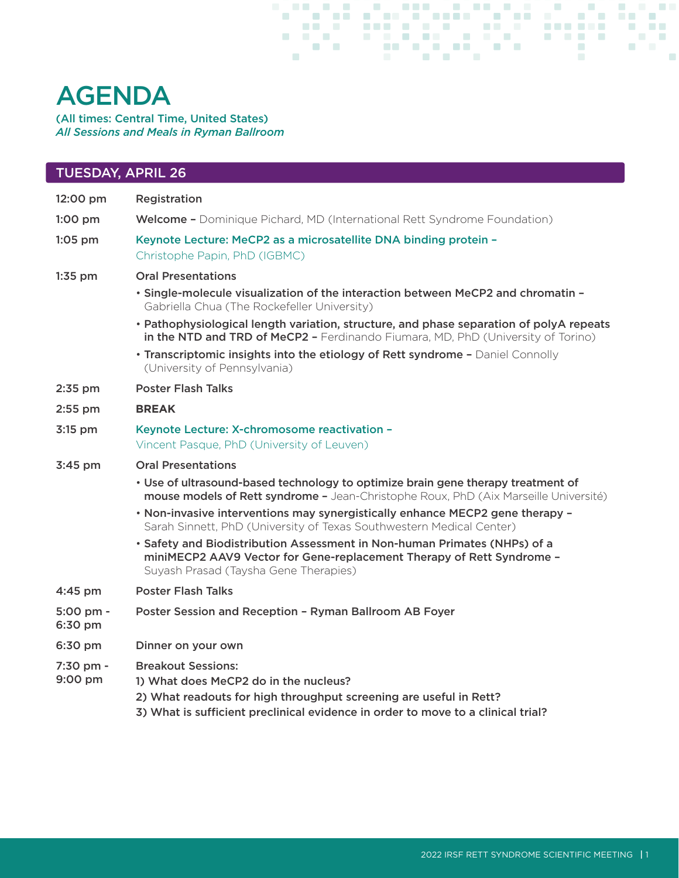## AGENDA

(All times: Central Time, United States) *All Sessions and Meals in Ryman Ballroom*

| <b>TUESDAY, APRIL 26</b>       |                                                                                                                                                                                                                              |
|--------------------------------|------------------------------------------------------------------------------------------------------------------------------------------------------------------------------------------------------------------------------|
| 12:00 pm                       | Registration                                                                                                                                                                                                                 |
| $1:00$ pm                      | <b>Welcome -</b> Dominique Pichard, MD (International Rett Syndrome Foundation)                                                                                                                                              |
| $1:05$ pm                      | Keynote Lecture: MeCP2 as a microsatellite DNA binding protein -<br>Christophe Papin, PhD (IGBMC)                                                                                                                            |
| $1:35$ pm                      | <b>Oral Presentations</b>                                                                                                                                                                                                    |
|                                | . Single-molecule visualization of the interaction between MeCP2 and chromatin -<br>Gabriella Chua (The Rockefeller University)                                                                                              |
|                                | • Pathophysiological length variation, structure, and phase separation of polyA repeats<br>in the NTD and TRD of MeCP2 - Ferdinando Fiumara, MD, PhD (University of Torino)                                                  |
|                                | • Transcriptomic insights into the etiology of Rett syndrome - Daniel Connolly<br>(University of Pennsylvania)                                                                                                               |
| 2:35 pm                        | <b>Poster Flash Talks</b>                                                                                                                                                                                                    |
| 2:55 pm                        | <b>BREAK</b>                                                                                                                                                                                                                 |
| 3:15 pm                        | Keynote Lecture: X-chromosome reactivation -<br>Vincent Pasque, PhD (University of Leuven)                                                                                                                                   |
| 3:45 pm                        | <b>Oral Presentations</b>                                                                                                                                                                                                    |
|                                | • Use of ultrasound-based technology to optimize brain gene therapy treatment of<br>mouse models of Rett syndrome - Jean-Christophe Roux, PhD (Aix Marseille Université)                                                     |
|                                | . Non-invasive interventions may synergistically enhance MECP2 gene therapy -<br>Sarah Sinnett, PhD (University of Texas Southwestern Medical Center)                                                                        |
|                                | · Safety and Biodistribution Assessment in Non-human Primates (NHPs) of a<br>miniMECP2 AAV9 Vector for Gene-replacement Therapy of Rett Syndrome -<br>Suyash Prasad (Taysha Gene Therapies)                                  |
| $4:45$ pm                      | <b>Poster Flash Talks</b>                                                                                                                                                                                                    |
| $5:00 \text{ pm} -$<br>6:30 pm | Poster Session and Reception - Ryman Ballroom AB Foyer                                                                                                                                                                       |
| 6:30 pm                        | Dinner on your own                                                                                                                                                                                                           |
| 7:30 pm -<br>9:00 pm           | <b>Breakout Sessions:</b><br>1) What does MeCP2 do in the nucleus?<br>2) What readouts for high throughput screening are useful in Rett?<br>3) What is sufficient preclinical evidence in order to move to a clinical trial? |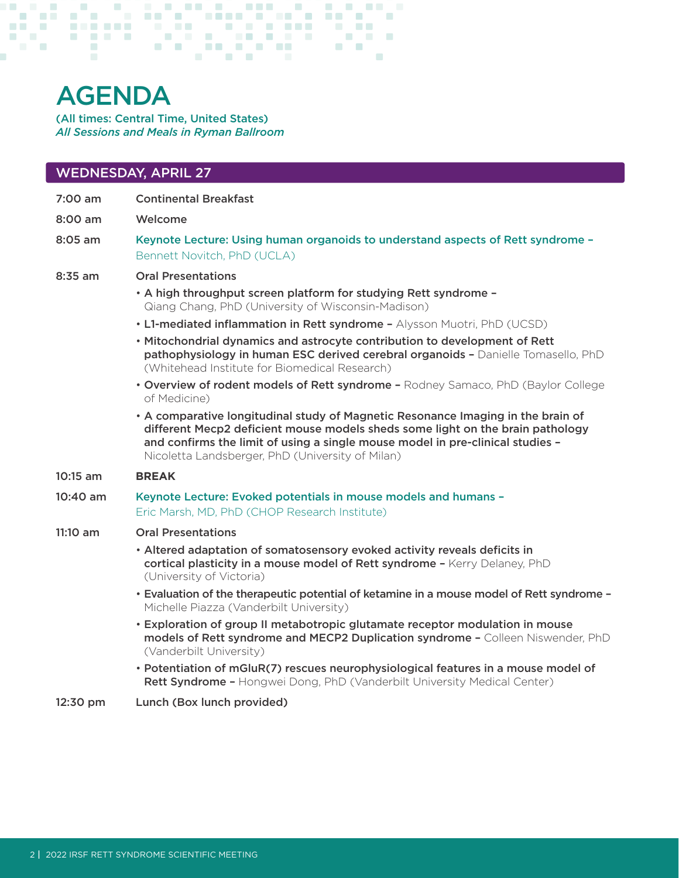# AGENDA

(All times: Central Time, United States) *All Sessions and Meals in Ryman Ballroom*

### WEDNESDAY, APRIL 27

7:00 am Continental Breakfast

8:00 am Welcome

8:05 am Keynote Lecture: Using human organoids to understand aspects of Rett syndrome – Bennett Novitch, PhD (UCLA)

#### 8:35 am Oral Presentations

- A high throughput screen platform for studying Rett syndrome Qiang Chang, PhD (University of Wisconsin-Madison)
- L1-mediated inflammation in Rett syndrome Alysson Muotri, PhD (UCSD)
- Mitochondrial dynamics and astrocyte contribution to development of Rett pathophysiology in human ESC derived cerebral organoids - Danielle Tomasello, PhD (Whitehead Institute for Biomedical Research)
- Overview of rodent models of Rett syndrome Rodney Samaco, PhD (Baylor College of Medicine)
- A comparative longitudinal study of Magnetic Resonance Imaging in the brain of different Mecp2 deficient mouse models sheds some light on the brain pathology and confirms the limit of using a single mouse model in pre-clinical studies – Nicoletta Landsberger, PhD (University of Milan)
- 10:15 am **BREAK**
- 10:40 am Keynote Lecture: Evoked potentials in mouse models and humans Eric Marsh, MD, PhD (CHOP Research Institute)

#### 11:10 am Oral Presentations

- Altered adaptation of somatosensory evoked activity reveals deficits in cortical plasticity in a mouse model of Rett syndrome - Kerry Delaney, PhD (University of Victoria)
- Evaluation of the therapeutic potential of ketamine in a mouse model of Rett syndrome Michelle Piazza (Vanderbilt University)
- Exploration of group II metabotropic glutamate receptor modulation in mouse models of Rett syndrome and MECP2 Duplication syndrome – Colleen Niswender, PhD (Vanderbilt University)
- Potentiation of mGluR(7) rescues neurophysiological features in a mouse model of Rett Syndrome - Hongwei Dong, PhD (Vanderbilt University Medical Center)
- 12:30 pm Lunch (Box lunch provided)